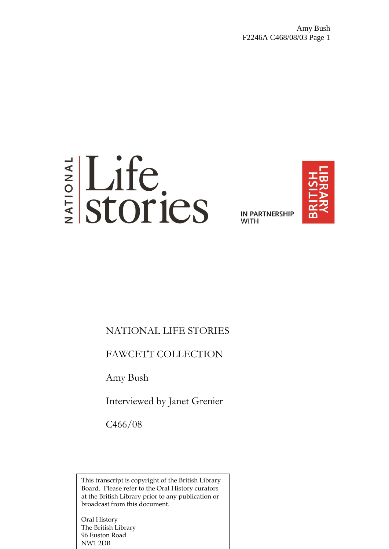# Elife<br>Estories

**IN PARTNERSHIP WITH** 



# NATIONAL LIFE STORIES

# FAWCETT COLLECTION

Amy Bush

Interviewed by Janet Grenier

C466/08

This transcript is copyright of the British Library Board. Please refer to the Oral History curators at the British Library prior to any publication or broadcast from this document.

Oral History The British Library 96 Euston Road NW1 2DB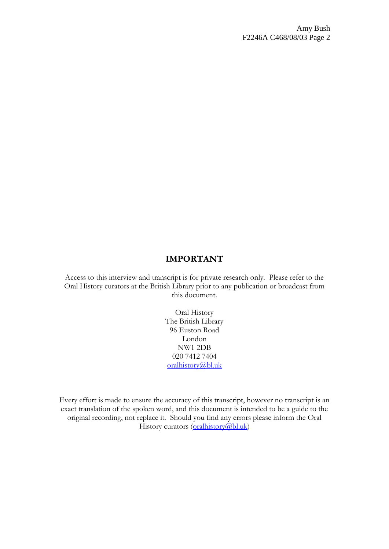# **IMPORTANT**

Access to this interview and transcript is for private research only. Please refer to the Oral History curators at the British Library prior to any publication or broadcast from this document.

> Oral History The British Library 96 Euston Road London NW1 2DB 020 7412 7404 [oralhistory@bl.uk](mailto:oralhistory@bl.uk)

Every effort is made to ensure the accuracy of this transcript, however no transcript is an exact translation of the spoken word, and this document is intended to be a guide to the original recording, not replace it. Should you find any errors please inform the Oral History curators [\(oralhistory@bl.uk\)](mailto:oralhistory@bl.uk)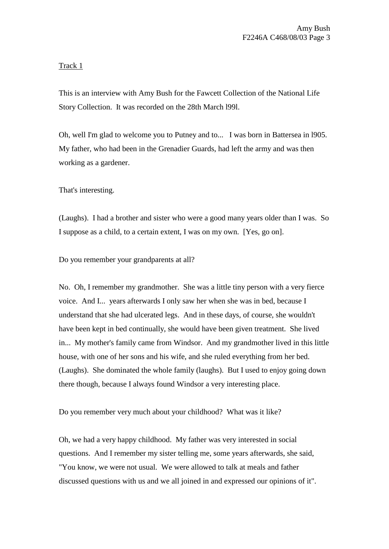# Track 1

This is an interview with Amy Bush for the Fawcett Collection of the National Life Story Collection. It was recorded on the 28th March l99l.

Oh, well I'm glad to welcome you to Putney and to... I was born in Battersea in l905. My father, who had been in the Grenadier Guards, had left the army and was then working as a gardener.

That's interesting.

(Laughs). I had a brother and sister who were a good many years older than I was. So I suppose as a child, to a certain extent, I was on my own. [Yes, go on].

Do you remember your grandparents at all?

No. Oh, I remember my grandmother. She was a little tiny person with a very fierce voice. And I... years afterwards I only saw her when she was in bed, because I understand that she had ulcerated legs. And in these days, of course, she wouldn't have been kept in bed continually, she would have been given treatment. She lived in... My mother's family came from Windsor. And my grandmother lived in this little house, with one of her sons and his wife, and she ruled everything from her bed. (Laughs). She dominated the whole family (laughs). But I used to enjoy going down there though, because I always found Windsor a very interesting place.

Do you remember very much about your childhood? What was it like?

Oh, we had a very happy childhood. My father was very interested in social questions. And I remember my sister telling me, some years afterwards, she said, "You know, we were not usual. We were allowed to talk at meals and father discussed questions with us and we all joined in and expressed our opinions of it".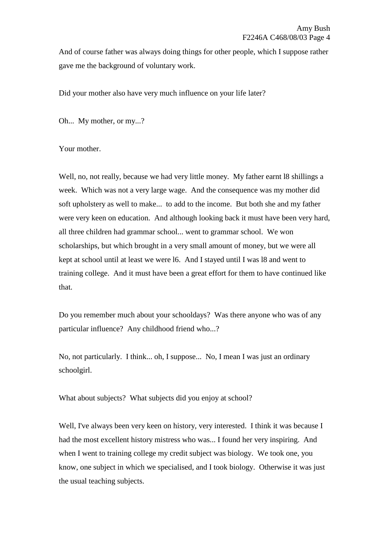And of course father was always doing things for other people, which I suppose rather gave me the background of voluntary work.

Did your mother also have very much influence on your life later?

Oh... My mother, or my...?

Your mother.

Well, no, not really, because we had very little money. My father earnt l8 shillings a week. Which was not a very large wage. And the consequence was my mother did soft upholstery as well to make... to add to the income. But both she and my father were very keen on education. And although looking back it must have been very hard, all three children had grammar school... went to grammar school. We won scholarships, but which brought in a very small amount of money, but we were all kept at school until at least we were l6. And I stayed until I was l8 and went to training college. And it must have been a great effort for them to have continued like that.

Do you remember much about your schooldays? Was there anyone who was of any particular influence? Any childhood friend who...?

No, not particularly. I think... oh, I suppose... No, I mean I was just an ordinary schoolgirl.

What about subjects? What subjects did you enjoy at school?

Well, I've always been very keen on history, very interested. I think it was because I had the most excellent history mistress who was... I found her very inspiring. And when I went to training college my credit subject was biology. We took one, you know, one subject in which we specialised, and I took biology. Otherwise it was just the usual teaching subjects.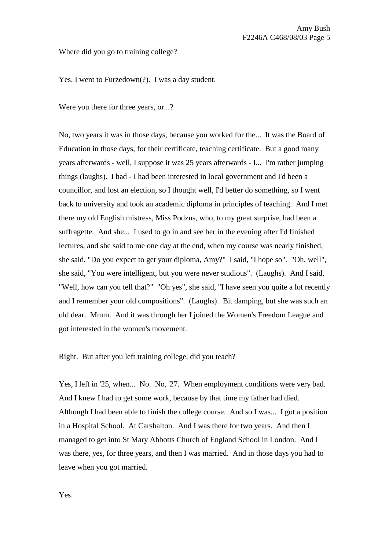#### Where did you go to training college?

Yes, I went to Furzedown(?). I was a day student.

Were you there for three years, or...?

No, two years it was in those days, because you worked for the... It was the Board of Education in those days, for their certificate, teaching certificate. But a good many years afterwards - well, I suppose it was 25 years afterwards - I... I'm rather jumping things (laughs). I had - I had been interested in local government and I'd been a councillor, and lost an election, so I thought well, I'd better do something, so I went back to university and took an academic diploma in principles of teaching. And I met there my old English mistress, Miss Podzus, who, to my great surprise, had been a suffragette. And she... I used to go in and see her in the evening after I'd finished lectures, and she said to me one day at the end, when my course was nearly finished, she said, "Do you expect to get your diploma, Amy?" I said, "I hope so". "Oh, well", she said, "You were intelligent, but you were never studious". (Laughs). And I said, "Well, how can you tell that?" "Oh yes", she said, "I have seen you quite a lot recently and I remember your old compositions". (Laughs). Bit damping, but she was such an old dear. Mmm. And it was through her I joined the Women's Freedom League and got interested in the women's movement.

Right. But after you left training college, did you teach?

Yes, I left in '25, when... No. No, '27. When employment conditions were very bad. And I knew I had to get some work, because by that time my father had died. Although I had been able to finish the college course. And so I was... I got a position in a Hospital School. At Carshalton. And I was there for two years. And then I managed to get into St Mary Abbotts Church of England School in London. And I was there, yes, for three years, and then I was married. And in those days you had to leave when you got married.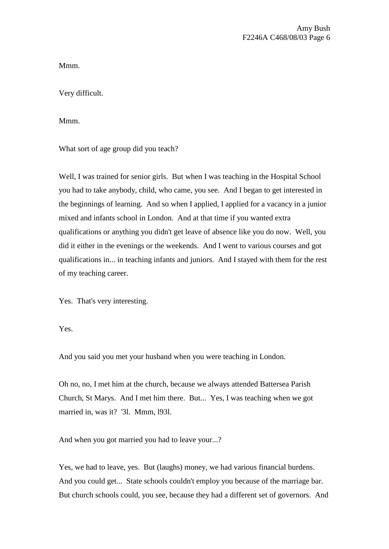Mmm.

Very difficult.

Mmm.

What sort of age group did you teach?

Well, I was trained for senior girls. But when I was teaching in the Hospital School you had to take anybody, child, who came, you see. And I began to get interested in the beginnings of learning. And so when I applied, I applied for a vacancy in a junior mixed and infants school in London. And at that time if you wanted extra qualifications or anything you didn't get leave of absence like you do now. Well, you did it either in the evenings or the weekends. And I went to various courses and got qualifications in... in teaching infants and juniors. And I stayed with them for the rest of my teaching career.

Yes. That's very interesting.

Yes.

And you said you met your husband when you were teaching in London.

Oh no, no, I met him at the church, because we always attended Battersea Parish Church, St Marys. And I met him there. But... Yes, I was teaching when we got married in, was it? '3l. Mmm, l93l.

And when you got married you had to leave your...?

Yes, we had to leave, yes. But (laughs) money, we had various financial burdens. And you could get... State schools couldn't employ you because of the marriage bar. But church schools could, you see, because they had a different set of governors. And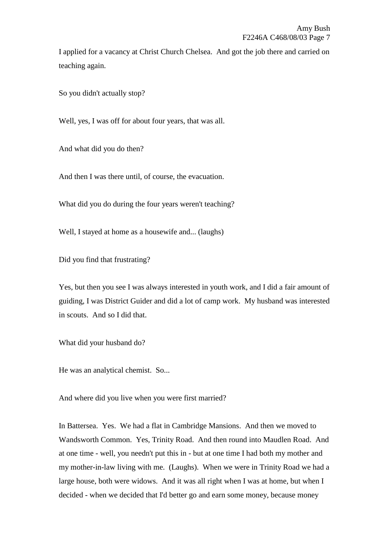I applied for a vacancy at Christ Church Chelsea. And got the job there and carried on teaching again.

So you didn't actually stop?

Well, yes, I was off for about four years, that was all.

And what did you do then?

And then I was there until, of course, the evacuation.

What did you do during the four years weren't teaching?

Well, I stayed at home as a housewife and... (laughs)

Did you find that frustrating?

Yes, but then you see I was always interested in youth work, and I did a fair amount of guiding, I was District Guider and did a lot of camp work. My husband was interested in scouts. And so I did that.

What did your husband do?

He was an analytical chemist. So...

And where did you live when you were first married?

In Battersea. Yes. We had a flat in Cambridge Mansions. And then we moved to Wandsworth Common. Yes, Trinity Road. And then round into Maudlen Road. And at one time - well, you needn't put this in - but at one time I had both my mother and my mother-in-law living with me. (Laughs). When we were in Trinity Road we had a large house, both were widows. And it was all right when I was at home, but when I decided - when we decided that I'd better go and earn some money, because money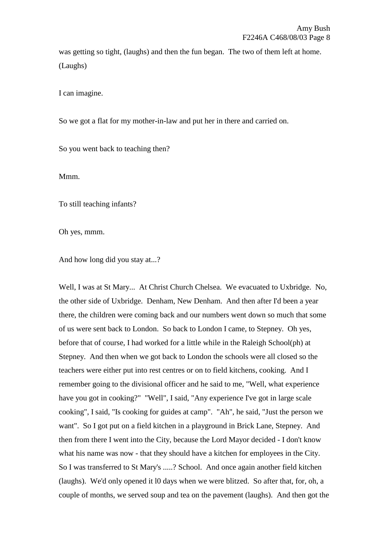was getting so tight, (laughs) and then the fun began. The two of them left at home. (Laughs)

I can imagine.

So we got a flat for my mother-in-law and put her in there and carried on.

So you went back to teaching then?

Mmm.

To still teaching infants?

Oh yes, mmm.

And how long did you stay at...?

Well, I was at St Mary... At Christ Church Chelsea. We evacuated to Uxbridge. No, the other side of Uxbridge. Denham, New Denham. And then after I'd been a year there, the children were coming back and our numbers went down so much that some of us were sent back to London. So back to London I came, to Stepney. Oh yes, before that of course, I had worked for a little while in the Raleigh School(ph) at Stepney. And then when we got back to London the schools were all closed so the teachers were either put into rest centres or on to field kitchens, cooking. And I remember going to the divisional officer and he said to me, "Well, what experience have you got in cooking?" "Well", I said, "Any experience I've got in large scale cooking", I said, "Is cooking for guides at camp". "Ah", he said, "Just the person we want". So I got put on a field kitchen in a playground in Brick Lane, Stepney. And then from there I went into the City, because the Lord Mayor decided - I don't know what his name was now - that they should have a kitchen for employees in the City. So I was transferred to St Mary's .....? School. And once again another field kitchen (laughs). We'd only opened it l0 days when we were blitzed. So after that, for, oh, a couple of months, we served soup and tea on the pavement (laughs). And then got the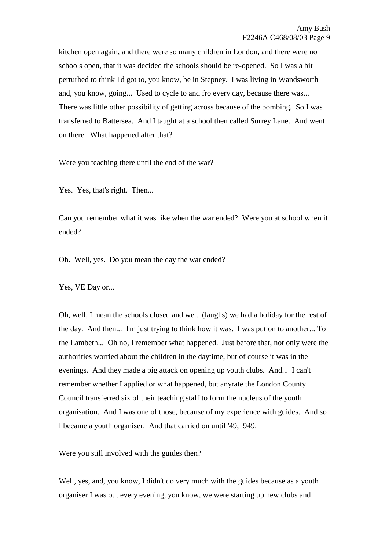kitchen open again, and there were so many children in London, and there were no schools open, that it was decided the schools should be re-opened. So I was a bit perturbed to think I'd got to, you know, be in Stepney. I was living in Wandsworth and, you know, going... Used to cycle to and fro every day, because there was... There was little other possibility of getting across because of the bombing. So I was transferred to Battersea. And I taught at a school then called Surrey Lane. And went on there. What happened after that?

Were you teaching there until the end of the war?

Yes. Yes, that's right. Then...

Can you remember what it was like when the war ended? Were you at school when it ended?

Oh. Well, yes. Do you mean the day the war ended?

Yes, VE Day or...

Oh, well, I mean the schools closed and we... (laughs) we had a holiday for the rest of the day. And then... I'm just trying to think how it was. I was put on to another... To the Lambeth... Oh no, I remember what happened. Just before that, not only were the authorities worried about the children in the daytime, but of course it was in the evenings. And they made a big attack on opening up youth clubs. And... I can't remember whether I applied or what happened, but anyrate the London County Council transferred six of their teaching staff to form the nucleus of the youth organisation. And I was one of those, because of my experience with guides. And so I became a youth organiser. And that carried on until '49, l949.

Were you still involved with the guides then?

Well, yes, and, you know, I didn't do very much with the guides because as a youth organiser I was out every evening, you know, we were starting up new clubs and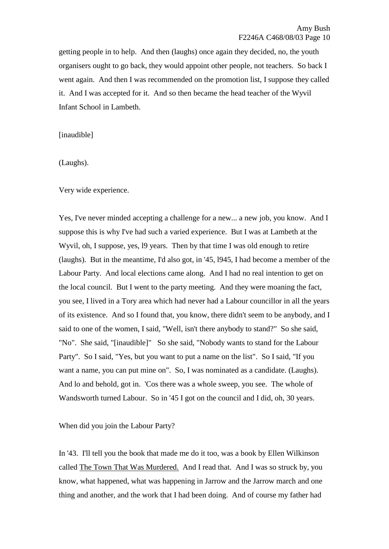getting people in to help. And then (laughs) once again they decided, no, the youth organisers ought to go back, they would appoint other people, not teachers. So back I went again. And then I was recommended on the promotion list, I suppose they called it. And I was accepted for it. And so then became the head teacher of the Wyvil Infant School in Lambeth.

[inaudible]

(Laughs).

Very wide experience.

Yes, I've never minded accepting a challenge for a new... a new job, you know. And I suppose this is why I've had such a varied experience. But I was at Lambeth at the Wyvil, oh, I suppose, yes, l9 years. Then by that time I was old enough to retire (laughs). But in the meantime, I'd also got, in '45, l945, I had become a member of the Labour Party. And local elections came along. And I had no real intention to get on the local council. But I went to the party meeting. And they were moaning the fact, you see, I lived in a Tory area which had never had a Labour councillor in all the years of its existence. And so I found that, you know, there didn't seem to be anybody, and I said to one of the women, I said, "Well, isn't there anybody to stand?" So she said, "No". She said, "[inaudible]" So she said, "Nobody wants to stand for the Labour Party". So I said, "Yes, but you want to put a name on the list". So I said, "If you want a name, you can put mine on". So, I was nominated as a candidate. (Laughs). And lo and behold, got in. 'Cos there was a whole sweep, you see. The whole of Wandsworth turned Labour. So in '45 I got on the council and I did, oh, 30 years.

When did you join the Labour Party?

In '43. I'll tell you the book that made me do it too, was a book by Ellen Wilkinson called The Town That Was Murdered. And I read that. And I was so struck by, you know, what happened, what was happening in Jarrow and the Jarrow march and one thing and another, and the work that I had been doing. And of course my father had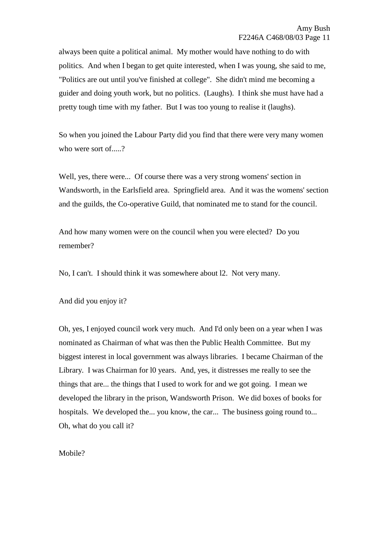always been quite a political animal. My mother would have nothing to do with politics. And when I began to get quite interested, when I was young, she said to me, "Politics are out until you've finished at college". She didn't mind me becoming a guider and doing youth work, but no politics. (Laughs). I think she must have had a pretty tough time with my father. But I was too young to realise it (laughs).

So when you joined the Labour Party did you find that there were very many women who were sort of.....?

Well, yes, there were... Of course there was a very strong womens' section in Wandsworth, in the Earlsfield area. Springfield area. And it was the womens' section and the guilds, the Co-operative Guild, that nominated me to stand for the council.

And how many women were on the council when you were elected? Do you remember?

No, I can't. I should think it was somewhere about l2. Not very many.

And did you enjoy it?

Oh, yes, I enjoyed council work very much. And I'd only been on a year when I was nominated as Chairman of what was then the Public Health Committee. But my biggest interest in local government was always libraries. I became Chairman of the Library. I was Chairman for l0 years. And, yes, it distresses me really to see the things that are... the things that I used to work for and we got going. I mean we developed the library in the prison, Wandsworth Prison. We did boxes of books for hospitals. We developed the... you know, the car... The business going round to... Oh, what do you call it?

Mobile?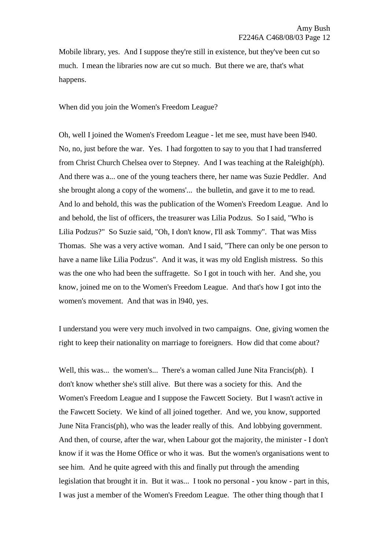Mobile library, yes. And I suppose they're still in existence, but they've been cut so much. I mean the libraries now are cut so much. But there we are, that's what happens.

When did you join the Women's Freedom League?

Oh, well I joined the Women's Freedom League - let me see, must have been l940. No, no, just before the war. Yes. I had forgotten to say to you that I had transferred from Christ Church Chelsea over to Stepney. And I was teaching at the Raleigh(ph). And there was a... one of the young teachers there, her name was Suzie Peddler. And she brought along a copy of the womens'... the bulletin, and gave it to me to read. And lo and behold, this was the publication of the Women's Freedom League. And lo and behold, the list of officers, the treasurer was Lilia Podzus. So I said, "Who is Lilia Podzus?" So Suzie said, "Oh, I don't know, I'll ask Tommy". That was Miss Thomas. She was a very active woman. And I said, "There can only be one person to have a name like Lilia Podzus". And it was, it was my old English mistress. So this was the one who had been the suffragette. So I got in touch with her. And she, you know, joined me on to the Women's Freedom League. And that's how I got into the women's movement. And that was in l940, yes.

I understand you were very much involved in two campaigns. One, giving women the right to keep their nationality on marriage to foreigners. How did that come about?

Well, this was... the women's... There's a woman called June Nita Francis(ph). I don't know whether she's still alive. But there was a society for this. And the Women's Freedom League and I suppose the Fawcett Society. But I wasn't active in the Fawcett Society. We kind of all joined together. And we, you know, supported June Nita Francis(ph), who was the leader really of this. And lobbying government. And then, of course, after the war, when Labour got the majority, the minister - I don't know if it was the Home Office or who it was. But the women's organisations went to see him. And he quite agreed with this and finally put through the amending legislation that brought it in. But it was... I took no personal - you know - part in this, I was just a member of the Women's Freedom League. The other thing though that I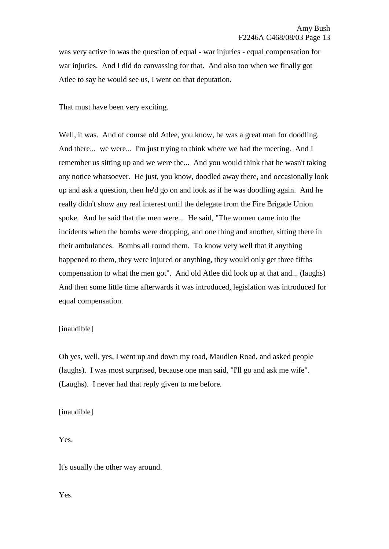was very active in was the question of equal - war injuries - equal compensation for war injuries. And I did do canvassing for that. And also too when we finally got Atlee to say he would see us, I went on that deputation.

That must have been very exciting.

Well, it was. And of course old Atlee, you know, he was a great man for doodling. And there... we were... I'm just trying to think where we had the meeting. And I remember us sitting up and we were the... And you would think that he wasn't taking any notice whatsoever. He just, you know, doodled away there, and occasionally look up and ask a question, then he'd go on and look as if he was doodling again. And he really didn't show any real interest until the delegate from the Fire Brigade Union spoke. And he said that the men were... He said, "The women came into the incidents when the bombs were dropping, and one thing and another, sitting there in their ambulances. Bombs all round them. To know very well that if anything happened to them, they were injured or anything, they would only get three fifths compensation to what the men got". And old Atlee did look up at that and... (laughs) And then some little time afterwards it was introduced, legislation was introduced for equal compensation.

### [inaudible]

Oh yes, well, yes, I went up and down my road, Maudlen Road, and asked people (laughs). I was most surprised, because one man said, "I'll go and ask me wife". (Laughs). I never had that reply given to me before.

[inaudible]

Yes.

It's usually the other way around.

Yes.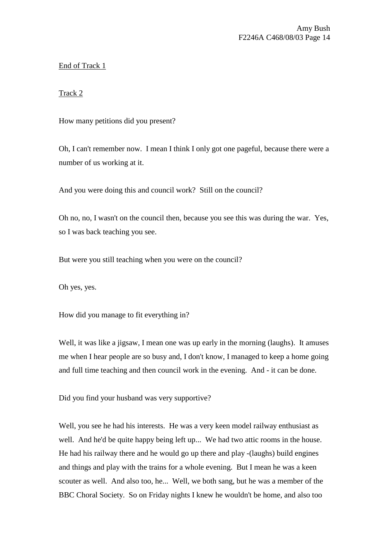# End of Track 1

# Track 2

How many petitions did you present?

Oh, I can't remember now. I mean I think I only got one pageful, because there were a number of us working at it.

And you were doing this and council work? Still on the council?

Oh no, no, I wasn't on the council then, because you see this was during the war. Yes, so I was back teaching you see.

But were you still teaching when you were on the council?

Oh yes, yes.

How did you manage to fit everything in?

Well, it was like a jigsaw, I mean one was up early in the morning (laughs). It amuses me when I hear people are so busy and, I don't know, I managed to keep a home going and full time teaching and then council work in the evening. And - it can be done.

Did you find your husband was very supportive?

Well, you see he had his interests. He was a very keen model railway enthusiast as well. And he'd be quite happy being left up... We had two attic rooms in the house. He had his railway there and he would go up there and play -(laughs) build engines and things and play with the trains for a whole evening. But I mean he was a keen scouter as well. And also too, he... Well, we both sang, but he was a member of the BBC Choral Society. So on Friday nights I knew he wouldn't be home, and also too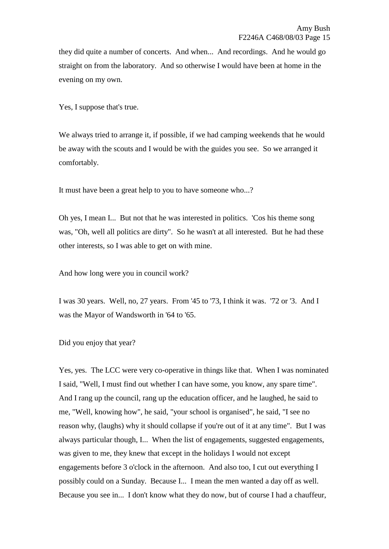they did quite a number of concerts. And when... And recordings. And he would go straight on from the laboratory. And so otherwise I would have been at home in the evening on my own.

Yes, I suppose that's true.

We always tried to arrange it, if possible, if we had camping weekends that he would be away with the scouts and I would be with the guides you see. So we arranged it comfortably.

It must have been a great help to you to have someone who...?

Oh yes, I mean I... But not that he was interested in politics. 'Cos his theme song was, "Oh, well all politics are dirty". So he wasn't at all interested. But he had these other interests, so I was able to get on with mine.

And how long were you in council work?

I was 30 years. Well, no, 27 years. From '45 to '73, I think it was. '72 or '3. And I was the Mayor of Wandsworth in '64 to '65.

Did you enjoy that year?

Yes, yes. The LCC were very co-operative in things like that. When I was nominated I said, "Well, I must find out whether I can have some, you know, any spare time". And I rang up the council, rang up the education officer, and he laughed, he said to me, "Well, knowing how", he said, "your school is organised", he said, "I see no reason why, (laughs) why it should collapse if you're out of it at any time". But I was always particular though, I... When the list of engagements, suggested engagements, was given to me, they knew that except in the holidays I would not except engagements before 3 o'clock in the afternoon. And also too, I cut out everything I possibly could on a Sunday. Because I... I mean the men wanted a day off as well. Because you see in... I don't know what they do now, but of course I had a chauffeur,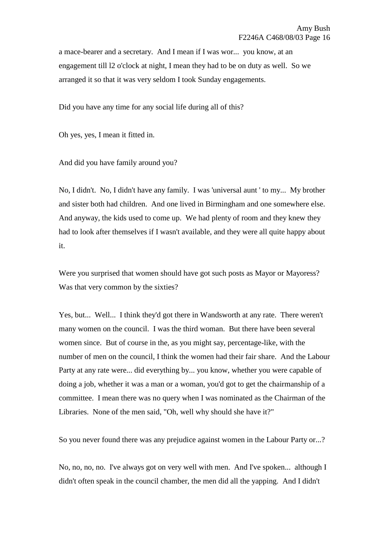a mace-bearer and a secretary. And I mean if I was wor... you know, at an engagement till l2 o'clock at night, I mean they had to be on duty as well. So we arranged it so that it was very seldom I took Sunday engagements.

Did you have any time for any social life during all of this?

Oh yes, yes, I mean it fitted in.

And did you have family around you?

No, I didn't. No, I didn't have any family. I was 'universal aunt ' to my... My brother and sister both had children. And one lived in Birmingham and one somewhere else. And anyway, the kids used to come up. We had plenty of room and they knew they had to look after themselves if I wasn't available, and they were all quite happy about it.

Were you surprised that women should have got such posts as Mayor or Mayoress? Was that very common by the sixties?

Yes, but... Well... I think they'd got there in Wandsworth at any rate. There weren't many women on the council. I was the third woman. But there have been several women since. But of course in the, as you might say, percentage-like, with the number of men on the council, I think the women had their fair share. And the Labour Party at any rate were... did everything by... you know, whether you were capable of doing a job, whether it was a man or a woman, you'd got to get the chairmanship of a committee. I mean there was no query when I was nominated as the Chairman of the Libraries. None of the men said, "Oh, well why should she have it?"

So you never found there was any prejudice against women in the Labour Party or...?

No, no, no, no. I've always got on very well with men. And I've spoken... although I didn't often speak in the council chamber, the men did all the yapping. And I didn't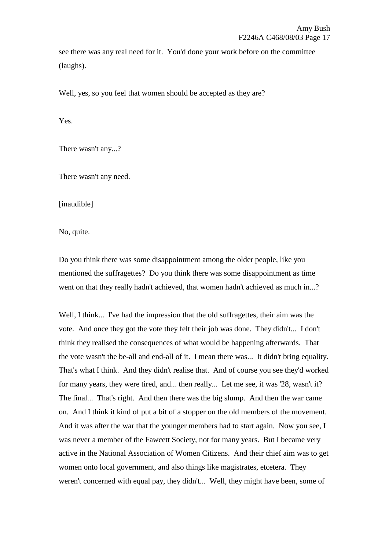see there was any real need for it. You'd done your work before on the committee (laughs).

Well, yes, so you feel that women should be accepted as they are?

Yes.

There wasn't any...?

There wasn't any need.

[inaudible]

No, quite.

Do you think there was some disappointment among the older people, like you mentioned the suffragettes? Do you think there was some disappointment as time went on that they really hadn't achieved, that women hadn't achieved as much in...?

Well, I think... I've had the impression that the old suffragettes, their aim was the vote. And once they got the vote they felt their job was done. They didn't... I don't think they realised the consequences of what would be happening afterwards. That the vote wasn't the be-all and end-all of it. I mean there was... It didn't bring equality. That's what I think. And they didn't realise that. And of course you see they'd worked for many years, they were tired, and... then really... Let me see, it was '28, wasn't it? The final... That's right. And then there was the big slump. And then the war came on. And I think it kind of put a bit of a stopper on the old members of the movement. And it was after the war that the younger members had to start again. Now you see, I was never a member of the Fawcett Society, not for many years. But I became very active in the National Association of Women Citizens. And their chief aim was to get women onto local government, and also things like magistrates, etcetera. They weren't concerned with equal pay, they didn't... Well, they might have been, some of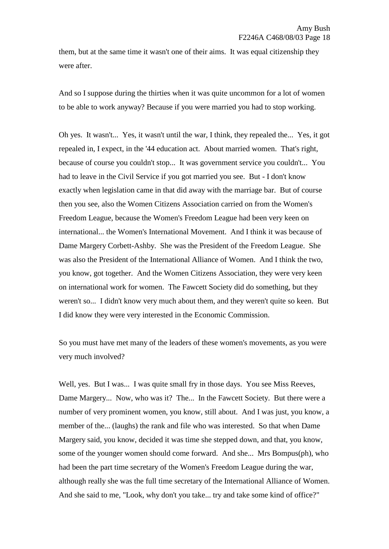them, but at the same time it wasn't one of their aims. It was equal citizenship they were after.

And so I suppose during the thirties when it was quite uncommon for a lot of women to be able to work anyway? Because if you were married you had to stop working.

Oh yes. It wasn't... Yes, it wasn't until the war, I think, they repealed the... Yes, it got repealed in, I expect, in the '44 education act. About married women. That's right, because of course you couldn't stop... It was government service you couldn't... You had to leave in the Civil Service if you got married you see. But - I don't know exactly when legislation came in that did away with the marriage bar. But of course then you see, also the Women Citizens Association carried on from the Women's Freedom League, because the Women's Freedom League had been very keen on international... the Women's International Movement. And I think it was because of Dame Margery Corbett-Ashby. She was the President of the Freedom League. She was also the President of the International Alliance of Women. And I think the two, you know, got together. And the Women Citizens Association, they were very keen on international work for women. The Fawcett Society did do something, but they weren't so... I didn't know very much about them, and they weren't quite so keen. But I did know they were very interested in the Economic Commission.

So you must have met many of the leaders of these women's movements, as you were very much involved?

Well, yes. But I was... I was quite small fry in those days. You see Miss Reeves, Dame Margery... Now, who was it? The... In the Fawcett Society. But there were a number of very prominent women, you know, still about. And I was just, you know, a member of the... (laughs) the rank and file who was interested. So that when Dame Margery said, you know, decided it was time she stepped down, and that, you know, some of the younger women should come forward. And she... Mrs Bompus(ph), who had been the part time secretary of the Women's Freedom League during the war, although really she was the full time secretary of the International Alliance of Women. And she said to me, "Look, why don't you take... try and take some kind of office?"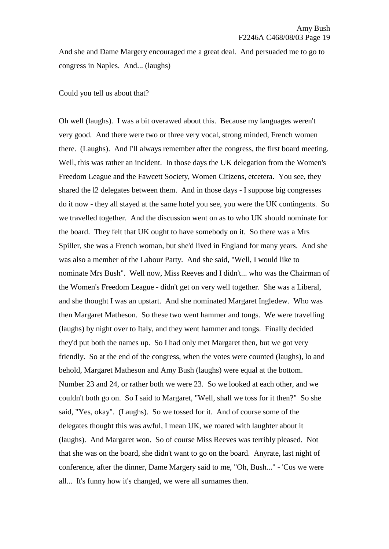And she and Dame Margery encouraged me a great deal. And persuaded me to go to congress in Naples. And... (laughs)

### Could you tell us about that?

Oh well (laughs). I was a bit overawed about this. Because my languages weren't very good. And there were two or three very vocal, strong minded, French women there. (Laughs). And I'll always remember after the congress, the first board meeting. Well, this was rather an incident. In those days the UK delegation from the Women's Freedom League and the Fawcett Society, Women Citizens, etcetera. You see, they shared the l2 delegates between them. And in those days - I suppose big congresses do it now - they all stayed at the same hotel you see, you were the UK contingents. So we travelled together. And the discussion went on as to who UK should nominate for the board. They felt that UK ought to have somebody on it. So there was a Mrs Spiller, she was a French woman, but she'd lived in England for many years. And she was also a member of the Labour Party. And she said, "Well, I would like to nominate Mrs Bush". Well now, Miss Reeves and I didn't... who was the Chairman of the Women's Freedom League - didn't get on very well together. She was a Liberal, and she thought I was an upstart. And she nominated Margaret Ingledew. Who was then Margaret Matheson. So these two went hammer and tongs. We were travelling (laughs) by night over to Italy, and they went hammer and tongs. Finally decided they'd put both the names up. So I had only met Margaret then, but we got very friendly. So at the end of the congress, when the votes were counted (laughs), lo and behold, Margaret Matheson and Amy Bush (laughs) were equal at the bottom. Number 23 and 24, or rather both we were 23. So we looked at each other, and we couldn't both go on. So I said to Margaret, "Well, shall we toss for it then?" So she said, "Yes, okay". (Laughs). So we tossed for it. And of course some of the delegates thought this was awful, I mean UK, we roared with laughter about it (laughs). And Margaret won. So of course Miss Reeves was terribly pleased. Not that she was on the board, she didn't want to go on the board. Anyrate, last night of conference, after the dinner, Dame Margery said to me, "Oh, Bush..." - 'Cos we were all... It's funny how it's changed, we were all surnames then.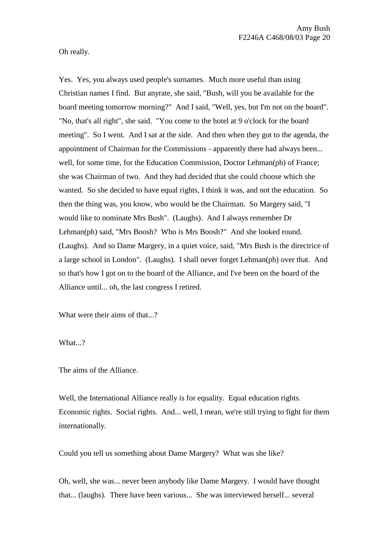Oh really.

Yes. Yes, you always used people's surnames. Much more useful than using Christian names I find. But anyrate, she said, "Bush, will you be available for the board meeting tomorrow morning?" And I said, "Well, yes, but I'm not on the board". "No, that's all right", she said. "You come to the hotel at 9 o'clock for the board meeting". So I went. And I sat at the side. And then when they got to the agenda, the appointment of Chairman for the Commissions - apparently there had always been... well, for some time, for the Education Commission, Doctor Lehman(ph) of France; she was Chairman of two. And they had decided that she could choose which she wanted. So she decided to have equal rights, I think it was, and not the education. So then the thing was, you know, who would be the Chairman. So Margery said, "I would like to nominate Mrs Bush". (Laughs). And I always remember Dr Lehman(ph) said, "Mrs Boosh? Who is Mrs Boosh?" And she looked round. (Laughs). And so Dame Margery, in a quiet voice, said, "Mrs Bush is the directrice of a large school in London". (Laughs). I shall never forget Lehman(ph) over that. And so that's how I got on to the board of the Alliance, and I've been on the board of the Alliance until... oh, the last congress I retired.

What were their aims of that...?

What...?

The aims of the Alliance.

Well, the International Alliance really is for equality. Equal education rights. Economic rights. Social rights. And... well, I mean, we're still trying to fight for them internationally.

Could you tell us something about Dame Margery? What was she like?

Oh, well, she was... never been anybody like Dame Margery. I would have thought that... (laughs). There have been various... She was interviewed herself... several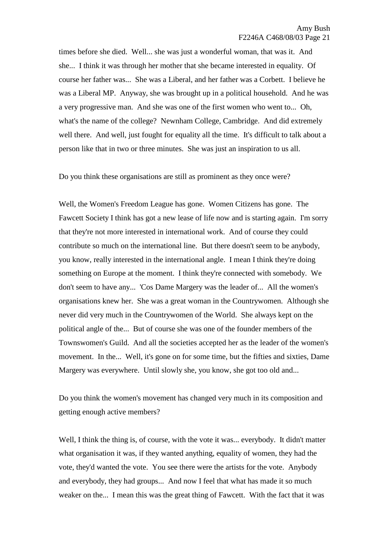times before she died. Well... she was just a wonderful woman, that was it. And she... I think it was through her mother that she became interested in equality. Of course her father was... She was a Liberal, and her father was a Corbett. I believe he was a Liberal MP. Anyway, she was brought up in a political household. And he was a very progressive man. And she was one of the first women who went to... Oh, what's the name of the college? Newnham College, Cambridge. And did extremely well there. And well, just fought for equality all the time. It's difficult to talk about a person like that in two or three minutes. She was just an inspiration to us all.

Do you think these organisations are still as prominent as they once were?

Well, the Women's Freedom League has gone. Women Citizens has gone. The Fawcett Society I think has got a new lease of life now and is starting again. I'm sorry that they're not more interested in international work. And of course they could contribute so much on the international line. But there doesn't seem to be anybody, you know, really interested in the international angle. I mean I think they're doing something on Europe at the moment. I think they're connected with somebody. We don't seem to have any... 'Cos Dame Margery was the leader of... All the women's organisations knew her. She was a great woman in the Countrywomen. Although she never did very much in the Countrywomen of the World. She always kept on the political angle of the... But of course she was one of the founder members of the Townswomen's Guild. And all the societies accepted her as the leader of the women's movement. In the... Well, it's gone on for some time, but the fifties and sixties, Dame Margery was everywhere. Until slowly she, you know, she got too old and...

Do you think the women's movement has changed very much in its composition and getting enough active members?

Well, I think the thing is, of course, with the vote it was... everybody. It didn't matter what organisation it was, if they wanted anything, equality of women, they had the vote, they'd wanted the vote. You see there were the artists for the vote. Anybody and everybody, they had groups... And now I feel that what has made it so much weaker on the... I mean this was the great thing of Fawcett. With the fact that it was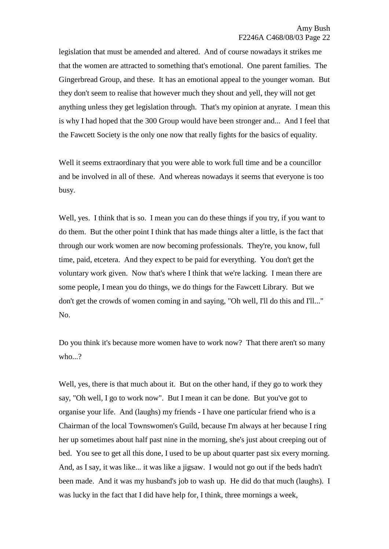legislation that must be amended and altered. And of course nowadays it strikes me that the women are attracted to something that's emotional. One parent families. The Gingerbread Group, and these. It has an emotional appeal to the younger woman. But they don't seem to realise that however much they shout and yell, they will not get anything unless they get legislation through. That's my opinion at anyrate. I mean this is why I had hoped that the 300 Group would have been stronger and... And I feel that the Fawcett Society is the only one now that really fights for the basics of equality.

Well it seems extraordinary that you were able to work full time and be a councillor and be involved in all of these. And whereas nowadays it seems that everyone is too busy.

Well, yes. I think that is so. I mean you can do these things if you try, if you want to do them. But the other point I think that has made things alter a little, is the fact that through our work women are now becoming professionals. They're, you know, full time, paid, etcetera. And they expect to be paid for everything. You don't get the voluntary work given. Now that's where I think that we're lacking. I mean there are some people, I mean you do things, we do things for the Fawcett Library. But we don't get the crowds of women coming in and saying, "Oh well, I'll do this and I'll..." No.

Do you think it's because more women have to work now? That there aren't so many who...?

Well, yes, there is that much about it. But on the other hand, if they go to work they say, "Oh well, I go to work now". But I mean it can be done. But you've got to organise your life. And (laughs) my friends - I have one particular friend who is a Chairman of the local Townswomen's Guild, because I'm always at her because I ring her up sometimes about half past nine in the morning, she's just about creeping out of bed. You see to get all this done, I used to be up about quarter past six every morning. And, as I say, it was like... it was like a jigsaw. I would not go out if the beds hadn't been made. And it was my husband's job to wash up. He did do that much (laughs). I was lucky in the fact that I did have help for, I think, three mornings a week,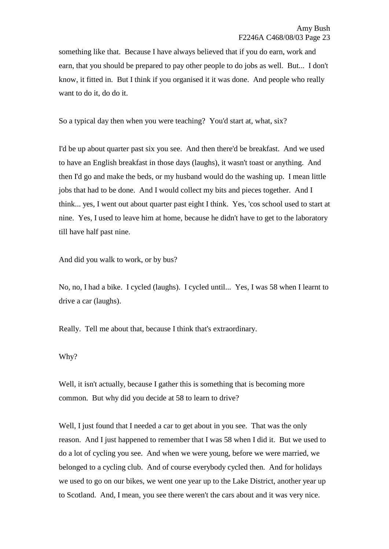something like that. Because I have always believed that if you do earn, work and earn, that you should be prepared to pay other people to do jobs as well. But... I don't know, it fitted in. But I think if you organised it it was done. And people who really want to do it, do do it.

So a typical day then when you were teaching? You'd start at, what, six?

I'd be up about quarter past six you see. And then there'd be breakfast. And we used to have an English breakfast in those days (laughs), it wasn't toast or anything. And then I'd go and make the beds, or my husband would do the washing up. I mean little jobs that had to be done. And I would collect my bits and pieces together. And I think... yes, I went out about quarter past eight I think. Yes, 'cos school used to start at nine. Yes, I used to leave him at home, because he didn't have to get to the laboratory till have half past nine.

And did you walk to work, or by bus?

No, no, I had a bike. I cycled (laughs). I cycled until... Yes, I was 58 when I learnt to drive a car (laughs).

Really. Tell me about that, because I think that's extraordinary.

#### Why?

Well, it isn't actually, because I gather this is something that is becoming more common. But why did you decide at 58 to learn to drive?

Well, I just found that I needed a car to get about in you see. That was the only reason. And I just happened to remember that I was 58 when I did it. But we used to do a lot of cycling you see. And when we were young, before we were married, we belonged to a cycling club. And of course everybody cycled then. And for holidays we used to go on our bikes, we went one year up to the Lake District, another year up to Scotland. And, I mean, you see there weren't the cars about and it was very nice.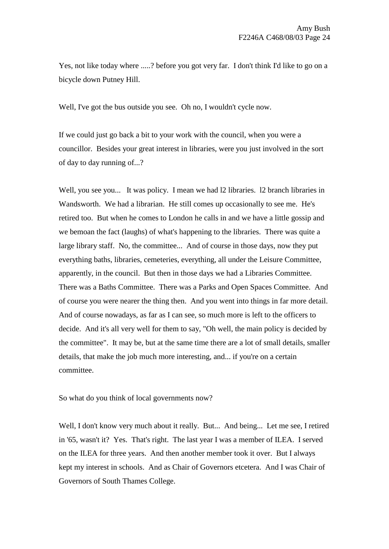Yes, not like today where .....? before you got very far. I don't think I'd like to go on a bicycle down Putney Hill.

Well, I've got the bus outside you see. Oh no, I wouldn't cycle now.

If we could just go back a bit to your work with the council, when you were a councillor. Besides your great interest in libraries, were you just involved in the sort of day to day running of...?

Well, you see you... It was policy. I mean we had 12 libraries. 12 branch libraries in Wandsworth. We had a librarian. He still comes up occasionally to see me. He's retired too. But when he comes to London he calls in and we have a little gossip and we bemoan the fact (laughs) of what's happening to the libraries. There was quite a large library staff. No, the committee... And of course in those days, now they put everything baths, libraries, cemeteries, everything, all under the Leisure Committee, apparently, in the council. But then in those days we had a Libraries Committee. There was a Baths Committee. There was a Parks and Open Spaces Committee. And of course you were nearer the thing then. And you went into things in far more detail. And of course nowadays, as far as I can see, so much more is left to the officers to decide. And it's all very well for them to say, "Oh well, the main policy is decided by the committee". It may be, but at the same time there are a lot of small details, smaller details, that make the job much more interesting, and... if you're on a certain committee.

So what do you think of local governments now?

Well, I don't know very much about it really. But... And being... Let me see, I retired in '65, wasn't it? Yes. That's right. The last year I was a member of ILEA. I served on the ILEA for three years. And then another member took it over. But I always kept my interest in schools. And as Chair of Governors etcetera. And I was Chair of Governors of South Thames College.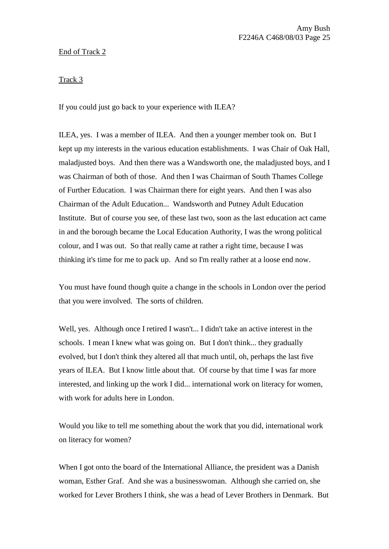# End of Track 2

Track 3

If you could just go back to your experience with ILEA?

ILEA, yes. I was a member of ILEA. And then a younger member took on. But I kept up my interests in the various education establishments. I was Chair of Oak Hall, maladjusted boys. And then there was a Wandsworth one, the maladjusted boys, and I was Chairman of both of those. And then I was Chairman of South Thames College of Further Education. I was Chairman there for eight years. And then I was also Chairman of the Adult Education... Wandsworth and Putney Adult Education Institute. But of course you see, of these last two, soon as the last education act came in and the borough became the Local Education Authority, I was the wrong political colour, and I was out. So that really came at rather a right time, because I was thinking it's time for me to pack up. And so I'm really rather at a loose end now.

You must have found though quite a change in the schools in London over the period that you were involved. The sorts of children.

Well, yes. Although once I retired I wasn't... I didn't take an active interest in the schools. I mean I knew what was going on. But I don't think... they gradually evolved, but I don't think they altered all that much until, oh, perhaps the last five years of ILEA. But I know little about that. Of course by that time I was far more interested, and linking up the work I did... international work on literacy for women, with work for adults here in London.

Would you like to tell me something about the work that you did, international work on literacy for women?

When I got onto the board of the International Alliance, the president was a Danish woman, Esther Graf. And she was a businesswoman. Although she carried on, she worked for Lever Brothers I think, she was a head of Lever Brothers in Denmark. But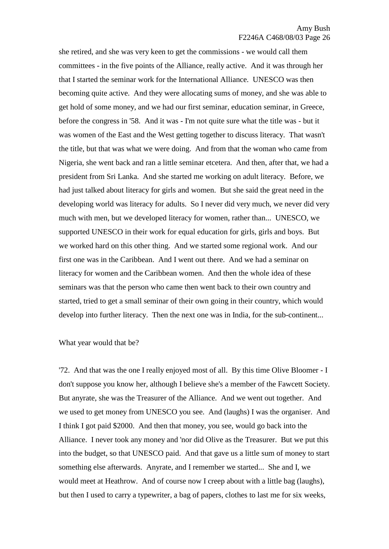she retired, and she was very keen to get the commissions - we would call them committees - in the five points of the Alliance, really active. And it was through her that I started the seminar work for the International Alliance. UNESCO was then becoming quite active. And they were allocating sums of money, and she was able to get hold of some money, and we had our first seminar, education seminar, in Greece, before the congress in '58. And it was - I'm not quite sure what the title was - but it was women of the East and the West getting together to discuss literacy. That wasn't the title, but that was what we were doing. And from that the woman who came from Nigeria, she went back and ran a little seminar etcetera. And then, after that, we had a president from Sri Lanka. And she started me working on adult literacy. Before, we had just talked about literacy for girls and women. But she said the great need in the developing world was literacy for adults. So I never did very much, we never did very much with men, but we developed literacy for women, rather than... UNESCO, we supported UNESCO in their work for equal education for girls, girls and boys. But we worked hard on this other thing. And we started some regional work. And our first one was in the Caribbean. And I went out there. And we had a seminar on literacy for women and the Caribbean women. And then the whole idea of these seminars was that the person who came then went back to their own country and started, tried to get a small seminar of their own going in their country, which would develop into further literacy. Then the next one was in India, for the sub-continent...

What year would that be?

'72. And that was the one I really enjoyed most of all. By this time Olive Bloomer - I don't suppose you know her, although I believe she's a member of the Fawcett Society. But anyrate, she was the Treasurer of the Alliance. And we went out together. And we used to get money from UNESCO you see. And (laughs) I was the organiser. And I think I got paid \$2000. And then that money, you see, would go back into the Alliance. I never took any money and 'nor did Olive as the Treasurer. But we put this into the budget, so that UNESCO paid. And that gave us a little sum of money to start something else afterwards. Anyrate, and I remember we started... She and I, we would meet at Heathrow. And of course now I creep about with a little bag (laughs), but then I used to carry a typewriter, a bag of papers, clothes to last me for six weeks,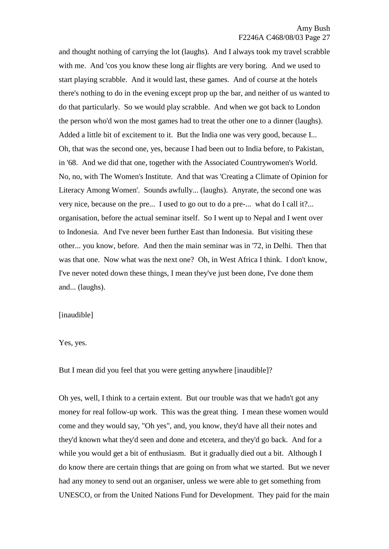and thought nothing of carrying the lot (laughs). And I always took my travel scrabble with me. And 'cos you know these long air flights are very boring. And we used to start playing scrabble. And it would last, these games. And of course at the hotels there's nothing to do in the evening except prop up the bar, and neither of us wanted to do that particularly. So we would play scrabble. And when we got back to London the person who'd won the most games had to treat the other one to a dinner (laughs). Added a little bit of excitement to it. But the India one was very good, because I... Oh, that was the second one, yes, because I had been out to India before, to Pakistan, in '68. And we did that one, together with the Associated Countrywomen's World. No, no, with The Women's Institute. And that was 'Creating a Climate of Opinion for Literacy Among Women'. Sounds awfully... (laughs). Anyrate, the second one was very nice, because on the pre... I used to go out to do a pre-... what do I call it?... organisation, before the actual seminar itself. So I went up to Nepal and I went over to Indonesia. And I've never been further East than Indonesia. But visiting these other... you know, before. And then the main seminar was in '72, in Delhi. Then that was that one. Now what was the next one? Oh, in West Africa I think. I don't know, I've never noted down these things, I mean they've just been done, I've done them and... (laughs).

#### [inaudible]

Yes, yes.

But I mean did you feel that you were getting anywhere [inaudible]?

Oh yes, well, I think to a certain extent. But our trouble was that we hadn't got any money for real follow-up work. This was the great thing. I mean these women would come and they would say, "Oh yes", and, you know, they'd have all their notes and they'd known what they'd seen and done and etcetera, and they'd go back. And for a while you would get a bit of enthusiasm. But it gradually died out a bit. Although I do know there are certain things that are going on from what we started. But we never had any money to send out an organiser, unless we were able to get something from UNESCO, or from the United Nations Fund for Development. They paid for the main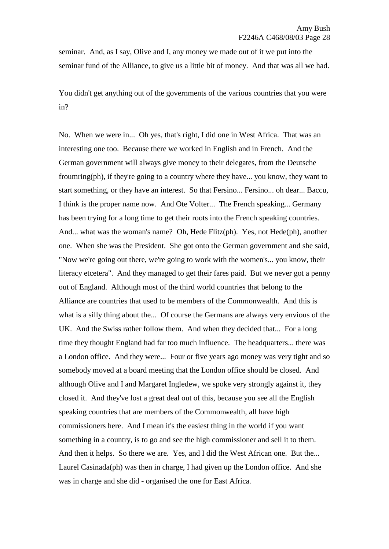seminar. And, as I say, Olive and I, any money we made out of it we put into the seminar fund of the Alliance, to give us a little bit of money. And that was all we had.

You didn't get anything out of the governments of the various countries that you were in?

No. When we were in... Oh yes, that's right, I did one in West Africa. That was an interesting one too. Because there we worked in English and in French. And the German government will always give money to their delegates, from the Deutsche froumring(ph), if they're going to a country where they have... you know, they want to start something, or they have an interest. So that Fersino... Fersino... oh dear... Baccu, I think is the proper name now. And Ote Volter... The French speaking... Germany has been trying for a long time to get their roots into the French speaking countries. And... what was the woman's name? Oh, Hede Flitz(ph). Yes, not Hede(ph), another one. When she was the President. She got onto the German government and she said, "Now we're going out there, we're going to work with the women's... you know, their literacy etcetera". And they managed to get their fares paid. But we never got a penny out of England. Although most of the third world countries that belong to the Alliance are countries that used to be members of the Commonwealth. And this is what is a silly thing about the... Of course the Germans are always very envious of the UK. And the Swiss rather follow them. And when they decided that... For a long time they thought England had far too much influence. The headquarters... there was a London office. And they were... Four or five years ago money was very tight and so somebody moved at a board meeting that the London office should be closed. And although Olive and I and Margaret Ingledew, we spoke very strongly against it, they closed it. And they've lost a great deal out of this, because you see all the English speaking countries that are members of the Commonwealth, all have high commissioners here. And I mean it's the easiest thing in the world if you want something in a country, is to go and see the high commissioner and sell it to them. And then it helps. So there we are. Yes, and I did the West African one. But the... Laurel Casinada(ph) was then in charge, I had given up the London office. And she was in charge and she did - organised the one for East Africa.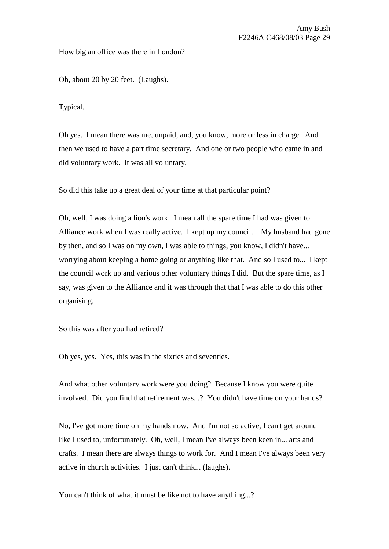How big an office was there in London?

Oh, about 20 by 20 feet. (Laughs).

Typical.

Oh yes. I mean there was me, unpaid, and, you know, more or less in charge. And then we used to have a part time secretary. And one or two people who came in and did voluntary work. It was all voluntary.

So did this take up a great deal of your time at that particular point?

Oh, well, I was doing a lion's work. I mean all the spare time I had was given to Alliance work when I was really active. I kept up my council... My husband had gone by then, and so I was on my own, I was able to things, you know, I didn't have... worrying about keeping a home going or anything like that. And so I used to... I kept the council work up and various other voluntary things I did. But the spare time, as I say, was given to the Alliance and it was through that that I was able to do this other organising.

So this was after you had retired?

Oh yes, yes. Yes, this was in the sixties and seventies.

And what other voluntary work were you doing? Because I know you were quite involved. Did you find that retirement was...? You didn't have time on your hands?

No, I've got more time on my hands now. And I'm not so active, I can't get around like I used to, unfortunately. Oh, well, I mean I've always been keen in... arts and crafts. I mean there are always things to work for. And I mean I've always been very active in church activities. I just can't think... (laughs).

You can't think of what it must be like not to have anything...?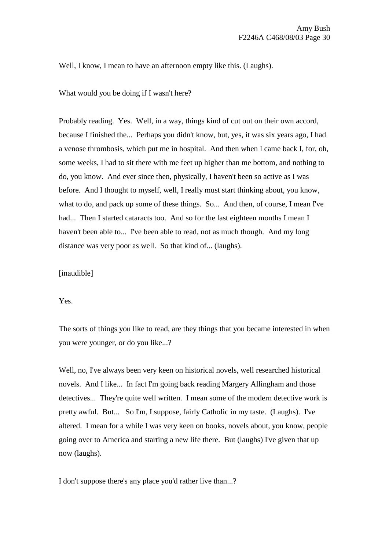Well, I know, I mean to have an afternoon empty like this. (Laughs).

What would you be doing if I wasn't here?

Probably reading. Yes. Well, in a way, things kind of cut out on their own accord, because I finished the... Perhaps you didn't know, but, yes, it was six years ago, I had a venose thrombosis, which put me in hospital. And then when I came back I, for, oh, some weeks, I had to sit there with me feet up higher than me bottom, and nothing to do, you know. And ever since then, physically, I haven't been so active as I was before. And I thought to myself, well, I really must start thinking about, you know, what to do, and pack up some of these things. So... And then, of course, I mean I've had... Then I started cataracts too. And so for the last eighteen months I mean I haven't been able to... I've been able to read, not as much though. And my long distance was very poor as well. So that kind of... (laughs).

[inaudible]

Yes.

The sorts of things you like to read, are they things that you became interested in when you were younger, or do you like...?

Well, no, I've always been very keen on historical novels, well researched historical novels. And I like... In fact I'm going back reading Margery Allingham and those detectives... They're quite well written. I mean some of the modern detective work is pretty awful. But... So I'm, I suppose, fairly Catholic in my taste. (Laughs). I've altered. I mean for a while I was very keen on books, novels about, you know, people going over to America and starting a new life there. But (laughs) I've given that up now (laughs).

I don't suppose there's any place you'd rather live than...?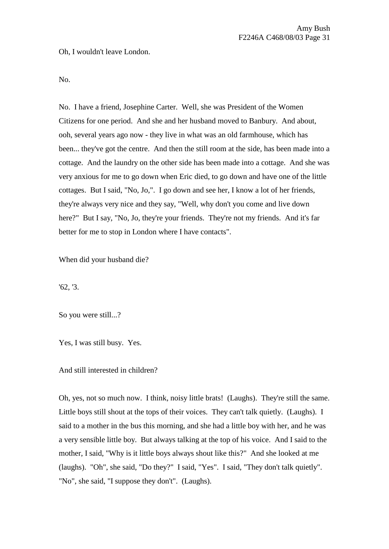Oh, I wouldn't leave London.

No.

No. I have a friend, Josephine Carter. Well, she was President of the Women Citizens for one period. And she and her husband moved to Banbury. And about, ooh, several years ago now - they live in what was an old farmhouse, which has been... they've got the centre. And then the still room at the side, has been made into a cottage. And the laundry on the other side has been made into a cottage. And she was very anxious for me to go down when Eric died, to go down and have one of the little cottages. But I said, "No, Jo,". I go down and see her, I know a lot of her friends, they're always very nice and they say, "Well, why don't you come and live down here?" But I say, "No, Jo, they're your friends. They're not my friends. And it's far better for me to stop in London where I have contacts".

When did your husband die?

'62, '3.

So you were still...?

Yes, I was still busy. Yes.

And still interested in children?

Oh, yes, not so much now. I think, noisy little brats! (Laughs). They're still the same. Little boys still shout at the tops of their voices. They can't talk quietly. (Laughs). I said to a mother in the bus this morning, and she had a little boy with her, and he was a very sensible little boy. But always talking at the top of his voice. And I said to the mother, I said, "Why is it little boys always shout like this?" And she looked at me (laughs). "Oh", she said, "Do they?" I said, "Yes". I said, "They don't talk quietly". "No", she said, "I suppose they don't". (Laughs).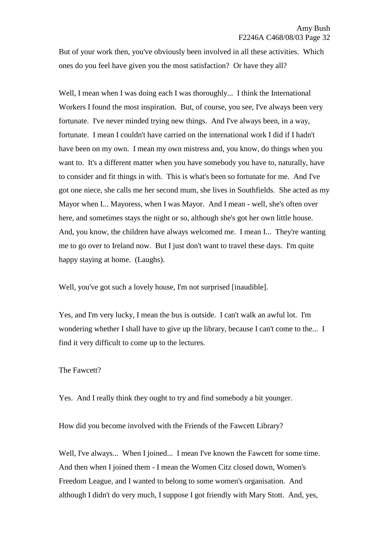But of your work then, you've obviously been involved in all these activities. Which ones do you feel have given you the most satisfaction? Or have they all?

Well, I mean when I was doing each I was thoroughly... I think the International Workers I found the most inspiration. But, of course, you see, I've always been very fortunate. I've never minded trying new things. And I've always been, in a way, fortunate. I mean I couldn't have carried on the international work I did if I hadn't have been on my own. I mean my own mistress and, you know, do things when you want to. It's a different matter when you have somebody you have to, naturally, have to consider and fit things in with. This is what's been so fortunate for me. And I've got one niece, she calls me her second mum, she lives in Southfields. She acted as my Mayor when I... Mayoress, when I was Mayor. And I mean - well, she's often over here, and sometimes stays the night or so, although she's got her own little house. And, you know, the children have always welcomed me. I mean I... They're wanting me to go over to Ireland now. But I just don't want to travel these days. I'm quite happy staying at home. (Laughs).

Well, you've got such a lovely house, I'm not surprised [inaudible].

Yes, and I'm very lucky, I mean the bus is outside. I can't walk an awful lot. I'm wondering whether I shall have to give up the library, because I can't come to the... I find it very difficult to come up to the lectures.

### The Fawcett?

Yes. And I really think they ought to try and find somebody a bit younger.

How did you become involved with the Friends of the Fawcett Library?

Well, I've always... When I joined... I mean I've known the Fawcett for some time. And then when I joined them - I mean the Women Citz closed down, Women's Freedom League, and I wanted to belong to some women's organisation. And although I didn't do very much, I suppose I got friendly with Mary Stott. And, yes,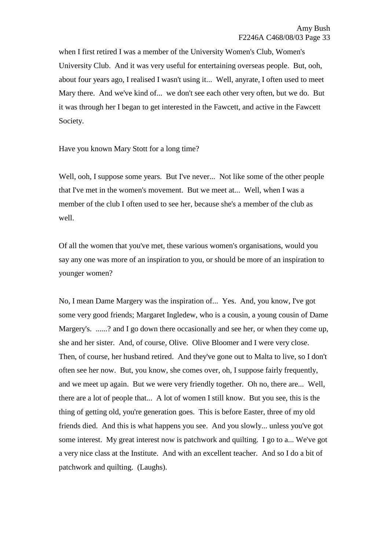when I first retired I was a member of the University Women's Club, Women's University Club. And it was very useful for entertaining overseas people. But, ooh, about four years ago, I realised I wasn't using it... Well, anyrate, I often used to meet Mary there. And we've kind of... we don't see each other very often, but we do. But it was through her I began to get interested in the Fawcett, and active in the Fawcett Society.

Have you known Mary Stott for a long time?

Well, ooh, I suppose some years. But I've never... Not like some of the other people that I've met in the women's movement. But we meet at... Well, when I was a member of the club I often used to see her, because she's a member of the club as well.

Of all the women that you've met, these various women's organisations, would you say any one was more of an inspiration to you, or should be more of an inspiration to younger women?

No, I mean Dame Margery was the inspiration of... Yes. And, you know, I've got some very good friends; Margaret Ingledew, who is a cousin, a young cousin of Dame Margery's. ......? and I go down there occasionally and see her, or when they come up, she and her sister. And, of course, Olive. Olive Bloomer and I were very close. Then, of course, her husband retired. And they've gone out to Malta to live, so I don't often see her now. But, you know, she comes over, oh, I suppose fairly frequently, and we meet up again. But we were very friendly together. Oh no, there are... Well, there are a lot of people that... A lot of women I still know. But you see, this is the thing of getting old, you're generation goes. This is before Easter, three of my old friends died. And this is what happens you see. And you slowly... unless you've got some interest. My great interest now is patchwork and quilting. I go to a... We've got a very nice class at the Institute. And with an excellent teacher. And so I do a bit of patchwork and quilting. (Laughs).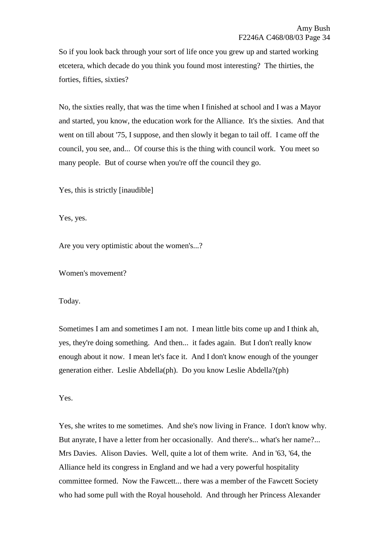So if you look back through your sort of life once you grew up and started working etcetera, which decade do you think you found most interesting? The thirties, the forties, fifties, sixties?

No, the sixties really, that was the time when I finished at school and I was a Mayor and started, you know, the education work for the Alliance. It's the sixties. And that went on till about '75, I suppose, and then slowly it began to tail off. I came off the council, you see, and... Of course this is the thing with council work. You meet so many people. But of course when you're off the council they go.

Yes, this is strictly [inaudible]

Yes, yes.

Are you very optimistic about the women's...?

Women's movement?

Today.

Sometimes I am and sometimes I am not. I mean little bits come up and I think ah, yes, they're doing something. And then... it fades again. But I don't really know enough about it now. I mean let's face it. And I don't know enough of the younger generation either. Leslie Abdella(ph). Do you know Leslie Abdella?(ph)

Yes.

Yes, she writes to me sometimes. And she's now living in France. I don't know why. But anyrate, I have a letter from her occasionally. And there's... what's her name?... Mrs Davies. Alison Davies. Well, quite a lot of them write. And in '63, '64, the Alliance held its congress in England and we had a very powerful hospitality committee formed. Now the Fawcett... there was a member of the Fawcett Society who had some pull with the Royal household. And through her Princess Alexander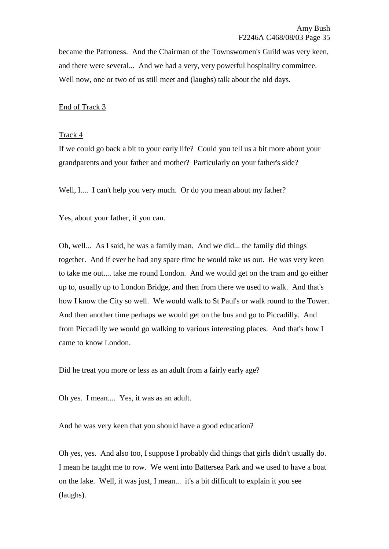became the Patroness. And the Chairman of the Townswomen's Guild was very keen, and there were several... And we had a very, very powerful hospitality committee. Well now, one or two of us still meet and (laughs) talk about the old days.

### End of Track 3

#### Track 4

If we could go back a bit to your early life? Could you tell us a bit more about your grandparents and your father and mother? Particularly on your father's side?

Well, I.... I can't help you very much. Or do you mean about my father?

Yes, about your father, if you can.

Oh, well... As I said, he was a family man. And we did... the family did things together. And if ever he had any spare time he would take us out. He was very keen to take me out.... take me round London. And we would get on the tram and go either up to, usually up to London Bridge, and then from there we used to walk. And that's how I know the City so well. We would walk to St Paul's or walk round to the Tower. And then another time perhaps we would get on the bus and go to Piccadilly. And from Piccadilly we would go walking to various interesting places. And that's how I came to know London.

Did he treat you more or less as an adult from a fairly early age?

Oh yes. I mean.... Yes, it was as an adult.

And he was very keen that you should have a good education?

Oh yes, yes. And also too, I suppose I probably did things that girls didn't usually do. I mean he taught me to row. We went into Battersea Park and we used to have a boat on the lake. Well, it was just, I mean... it's a bit difficult to explain it you see (laughs).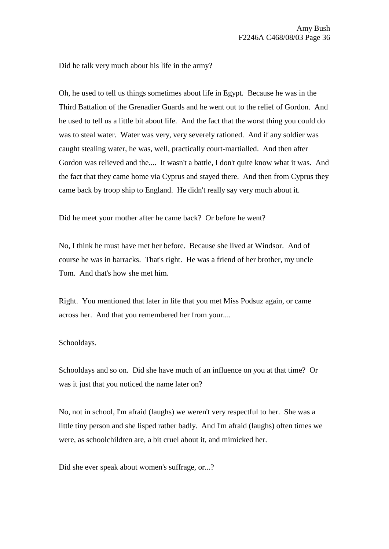Did he talk very much about his life in the army?

Oh, he used to tell us things sometimes about life in Egypt. Because he was in the Third Battalion of the Grenadier Guards and he went out to the relief of Gordon. And he used to tell us a little bit about life. And the fact that the worst thing you could do was to steal water. Water was very, very severely rationed. And if any soldier was caught stealing water, he was, well, practically court-martialled. And then after Gordon was relieved and the.... It wasn't a battle, I don't quite know what it was. And the fact that they came home via Cyprus and stayed there. And then from Cyprus they came back by troop ship to England. He didn't really say very much about it.

Did he meet your mother after he came back? Or before he went?

No, I think he must have met her before. Because she lived at Windsor. And of course he was in barracks. That's right. He was a friend of her brother, my uncle Tom. And that's how she met him.

Right. You mentioned that later in life that you met Miss Podsuz again, or came across her. And that you remembered her from your....

#### Schooldays.

Schooldays and so on. Did she have much of an influence on you at that time? Or was it just that you noticed the name later on?

No, not in school, I'm afraid (laughs) we weren't very respectful to her. She was a little tiny person and she lisped rather badly. And I'm afraid (laughs) often times we were, as schoolchildren are, a bit cruel about it, and mimicked her.

Did she ever speak about women's suffrage, or...?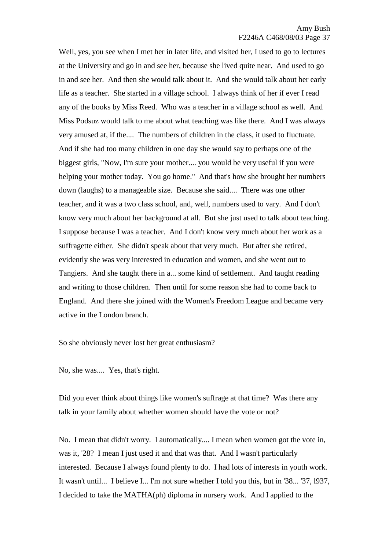Well, yes, you see when I met her in later life, and visited her, I used to go to lectures at the University and go in and see her, because she lived quite near. And used to go in and see her. And then she would talk about it. And she would talk about her early life as a teacher. She started in a village school. I always think of her if ever I read any of the books by Miss Reed. Who was a teacher in a village school as well. And Miss Podsuz would talk to me about what teaching was like there. And I was always very amused at, if the.... The numbers of children in the class, it used to fluctuate. And if she had too many children in one day she would say to perhaps one of the biggest girls, "Now, I'm sure your mother.... you would be very useful if you were helping your mother today. You go home." And that's how she brought her numbers down (laughs) to a manageable size. Because she said.... There was one other teacher, and it was a two class school, and, well, numbers used to vary. And I don't know very much about her background at all. But she just used to talk about teaching. I suppose because I was a teacher. And I don't know very much about her work as a suffragette either. She didn't speak about that very much. But after she retired, evidently she was very interested in education and women, and she went out to Tangiers. And she taught there in a... some kind of settlement. And taught reading and writing to those children. Then until for some reason she had to come back to England. And there she joined with the Women's Freedom League and became very active in the London branch.

So she obviously never lost her great enthusiasm?

No, she was.... Yes, that's right.

Did you ever think about things like women's suffrage at that time? Was there any talk in your family about whether women should have the vote or not?

No. I mean that didn't worry. I automatically.... I mean when women got the vote in, was it, '28? I mean I just used it and that was that. And I wasn't particularly interested. Because I always found plenty to do. I had lots of interests in youth work. It wasn't until... I believe I... I'm not sure whether I told you this, but in '38... '37, l937, I decided to take the MATHA(ph) diploma in nursery work. And I applied to the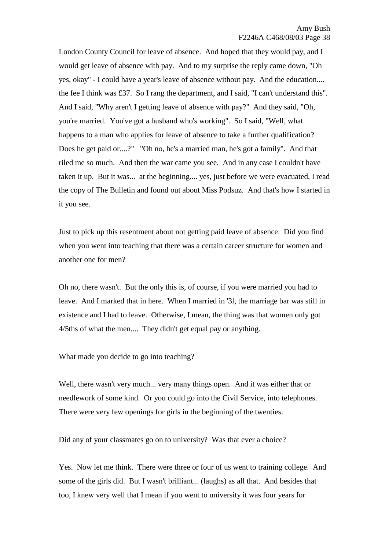London County Council for leave of absence. And hoped that they would pay, and I would get leave of absence with pay. And to my surprise the reply came down, "Oh yes, okay" - I could have a year's leave of absence without pay. And the education.... the fee I think was £37. So I rang the department, and I said, "I can't understand this". And I said, "Why aren't I getting leave of absence with pay?" And they said, "Oh, you're married. You've got a husband who's working". So I said, "Well, what happens to a man who applies for leave of absence to take a further qualification? Does he get paid or....?" "Oh no, he's a married man, he's got a family". And that riled me so much. And then the war came you see. And in any case I couldn't have taken it up. But it was... at the beginning.... yes, just before we were evacuated, I read the copy of The Bulletin and found out about Miss Podsuz. And that's how I started in it you see.

Just to pick up this resentment about not getting paid leave of absence. Did you find when you went into teaching that there was a certain career structure for women and another one for men?

Oh no, there wasn't. But the only this is, of course, if you were married you had to leave. And I marked that in here. When I married in '3l, the marriage bar was still in existence and I had to leave. Otherwise, I mean, the thing was that women only got 4/5ths of what the men.... They didn't get equal pay or anything.

What made you decide to go into teaching?

Well, there wasn't very much... very many things open. And it was either that or needlework of some kind. Or you could go into the Civil Service, into telephones. There were very few openings for girls in the beginning of the twenties.

Did any of your classmates go on to university? Was that ever a choice?

Yes. Now let me think. There were three or four of us went to training college. And some of the girls did. But I wasn't brilliant... (laughs) as all that. And besides that too, I knew very well that I mean if you went to university it was four years for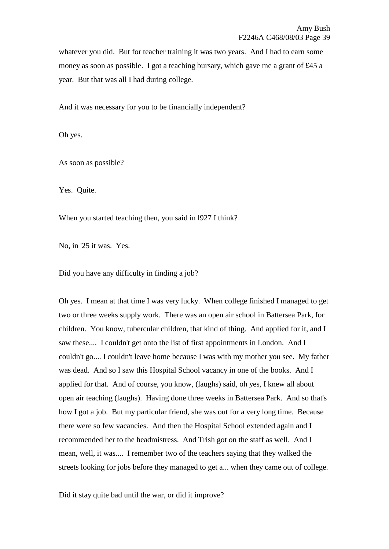whatever you did. But for teacher training it was two years. And I had to earn some money as soon as possible. I got a teaching bursary, which gave me a grant of £45 a year. But that was all I had during college.

And it was necessary for you to be financially independent?

Oh yes.

As soon as possible?

Yes. Quite.

When you started teaching then, you said in l927 I think?

No, in '25 it was. Yes.

Did you have any difficulty in finding a job?

Oh yes. I mean at that time I was very lucky. When college finished I managed to get two or three weeks supply work. There was an open air school in Battersea Park, for children. You know, tubercular children, that kind of thing. And applied for it, and I saw these.... I couldn't get onto the list of first appointments in London. And I couldn't go.... I couldn't leave home because I was with my mother you see. My father was dead. And so I saw this Hospital School vacancy in one of the books. And I applied for that. And of course, you know, (laughs) said, oh yes, I knew all about open air teaching (laughs). Having done three weeks in Battersea Park. And so that's how I got a job. But my particular friend, she was out for a very long time. Because there were so few vacancies. And then the Hospital School extended again and I recommended her to the headmistress. And Trish got on the staff as well. And I mean, well, it was.... I remember two of the teachers saying that they walked the streets looking for jobs before they managed to get a... when they came out of college.

Did it stay quite bad until the war, or did it improve?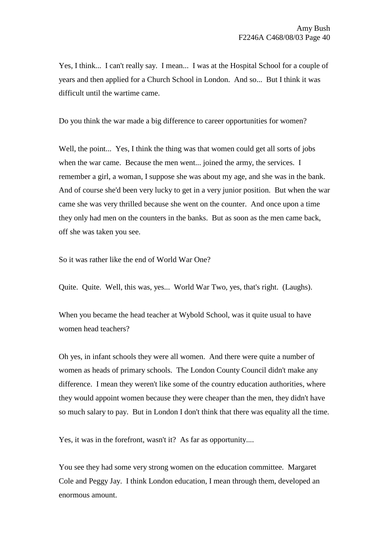Yes, I think... I can't really say. I mean... I was at the Hospital School for a couple of years and then applied for a Church School in London. And so... But I think it was difficult until the wartime came.

Do you think the war made a big difference to career opportunities for women?

Well, the point... Yes, I think the thing was that women could get all sorts of jobs when the war came. Because the men went... joined the army, the services. I remember a girl, a woman, I suppose she was about my age, and she was in the bank. And of course she'd been very lucky to get in a very junior position. But when the war came she was very thrilled because she went on the counter. And once upon a time they only had men on the counters in the banks. But as soon as the men came back, off she was taken you see.

So it was rather like the end of World War One?

Quite. Quite. Well, this was, yes... World War Two, yes, that's right. (Laughs).

When you became the head teacher at Wybold School, was it quite usual to have women head teachers?

Oh yes, in infant schools they were all women. And there were quite a number of women as heads of primary schools. The London County Council didn't make any difference. I mean they weren't like some of the country education authorities, where they would appoint women because they were cheaper than the men, they didn't have so much salary to pay. But in London I don't think that there was equality all the time.

Yes, it was in the forefront, wasn't it? As far as opportunity....

You see they had some very strong women on the education committee. Margaret Cole and Peggy Jay. I think London education, I mean through them, developed an enormous amount.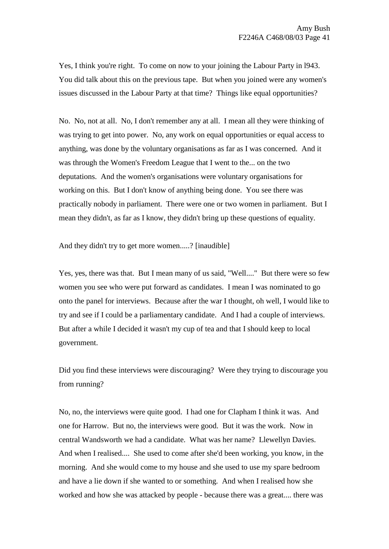Yes, I think you're right. To come on now to your joining the Labour Party in 1943. You did talk about this on the previous tape. But when you joined were any women's issues discussed in the Labour Party at that time? Things like equal opportunities?

No. No, not at all. No, I don't remember any at all. I mean all they were thinking of was trying to get into power. No, any work on equal opportunities or equal access to anything, was done by the voluntary organisations as far as I was concerned. And it was through the Women's Freedom League that I went to the... on the two deputations. And the women's organisations were voluntary organisations for working on this. But I don't know of anything being done. You see there was practically nobody in parliament. There were one or two women in parliament. But I mean they didn't, as far as I know, they didn't bring up these questions of equality.

And they didn't try to get more women.....? [inaudible]

Yes, yes, there was that. But I mean many of us said, "Well...." But there were so few women you see who were put forward as candidates. I mean I was nominated to go onto the panel for interviews. Because after the war I thought, oh well, I would like to try and see if I could be a parliamentary candidate. And I had a couple of interviews. But after a while I decided it wasn't my cup of tea and that I should keep to local government.

Did you find these interviews were discouraging? Were they trying to discourage you from running?

No, no, the interviews were quite good. I had one for Clapham I think it was. And one for Harrow. But no, the interviews were good. But it was the work. Now in central Wandsworth we had a candidate. What was her name? Llewellyn Davies. And when I realised.... She used to come after she'd been working, you know, in the morning. And she would come to my house and she used to use my spare bedroom and have a lie down if she wanted to or something. And when I realised how she worked and how she was attacked by people - because there was a great.... there was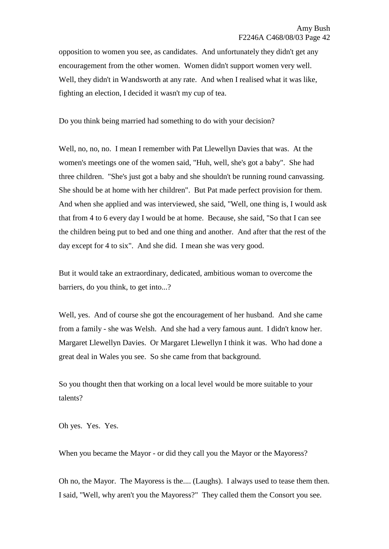opposition to women you see, as candidates. And unfortunately they didn't get any encouragement from the other women. Women didn't support women very well. Well, they didn't in Wandsworth at any rate. And when I realised what it was like, fighting an election, I decided it wasn't my cup of tea.

Do you think being married had something to do with your decision?

Well, no, no, no. I mean I remember with Pat Llewellyn Davies that was. At the women's meetings one of the women said, "Huh, well, she's got a baby". She had three children. "She's just got a baby and she shouldn't be running round canvassing. She should be at home with her children". But Pat made perfect provision for them. And when she applied and was interviewed, she said, "Well, one thing is, I would ask that from 4 to 6 every day I would be at home. Because, she said, "So that I can see the children being put to bed and one thing and another. And after that the rest of the day except for 4 to six". And she did. I mean she was very good.

But it would take an extraordinary, dedicated, ambitious woman to overcome the barriers, do you think, to get into...?

Well, yes. And of course she got the encouragement of her husband. And she came from a family - she was Welsh. And she had a very famous aunt. I didn't know her. Margaret Llewellyn Davies. Or Margaret Llewellyn I think it was. Who had done a great deal in Wales you see. So she came from that background.

So you thought then that working on a local level would be more suitable to your talents?

Oh yes. Yes. Yes.

When you became the Mayor - or did they call you the Mayor or the Mayoress?

Oh no, the Mayor. The Mayoress is the.... (Laughs). I always used to tease them then. I said, "Well, why aren't you the Mayoress?" They called them the Consort you see.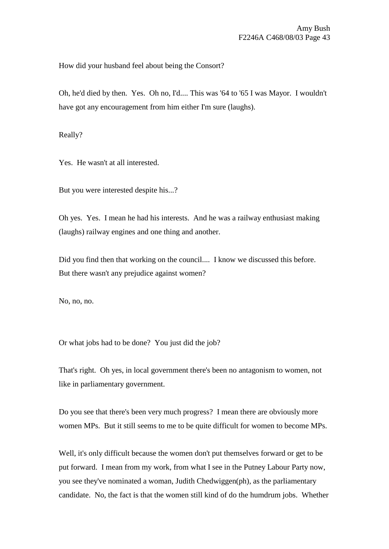How did your husband feel about being the Consort?

Oh, he'd died by then. Yes. Oh no, I'd.... This was '64 to '65 I was Mayor. I wouldn't have got any encouragement from him either I'm sure (laughs).

Really?

Yes. He wasn't at all interested.

But you were interested despite his...?

Oh yes. Yes. I mean he had his interests. And he was a railway enthusiast making (laughs) railway engines and one thing and another.

Did you find then that working on the council.... I know we discussed this before. But there wasn't any prejudice against women?

No, no, no.

Or what jobs had to be done? You just did the job?

That's right. Oh yes, in local government there's been no antagonism to women, not like in parliamentary government.

Do you see that there's been very much progress? I mean there are obviously more women MPs. But it still seems to me to be quite difficult for women to become MPs.

Well, it's only difficult because the women don't put themselves forward or get to be put forward. I mean from my work, from what I see in the Putney Labour Party now, you see they've nominated a woman, Judith Chedwiggen(ph), as the parliamentary candidate. No, the fact is that the women still kind of do the humdrum jobs. Whether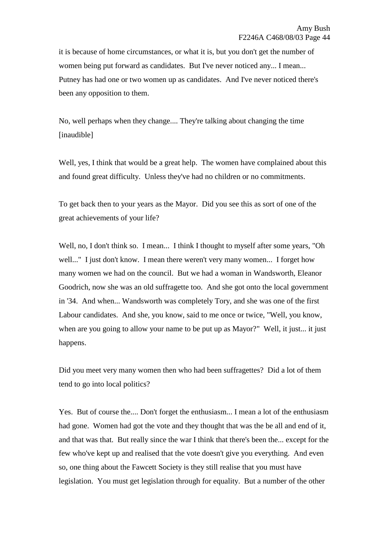it is because of home circumstances, or what it is, but you don't get the number of women being put forward as candidates. But I've never noticed any... I mean... Putney has had one or two women up as candidates. And I've never noticed there's been any opposition to them.

No, well perhaps when they change.... They're talking about changing the time [inaudible]

Well, yes, I think that would be a great help. The women have complained about this and found great difficulty. Unless they've had no children or no commitments.

To get back then to your years as the Mayor. Did you see this as sort of one of the great achievements of your life?

Well, no, I don't think so. I mean... I think I thought to myself after some years, "Oh well..." I just don't know. I mean there weren't very many women... I forget how many women we had on the council. But we had a woman in Wandsworth, Eleanor Goodrich, now she was an old suffragette too. And she got onto the local government in '34. And when... Wandsworth was completely Tory, and she was one of the first Labour candidates. And she, you know, said to me once or twice, "Well, you know, when are you going to allow your name to be put up as Mayor?" Well, it just... it just happens.

Did you meet very many women then who had been suffragettes? Did a lot of them tend to go into local politics?

Yes. But of course the.... Don't forget the enthusiasm... I mean a lot of the enthusiasm had gone. Women had got the vote and they thought that was the be all and end of it, and that was that. But really since the war I think that there's been the... except for the few who've kept up and realised that the vote doesn't give you everything. And even so, one thing about the Fawcett Society is they still realise that you must have legislation. You must get legislation through for equality. But a number of the other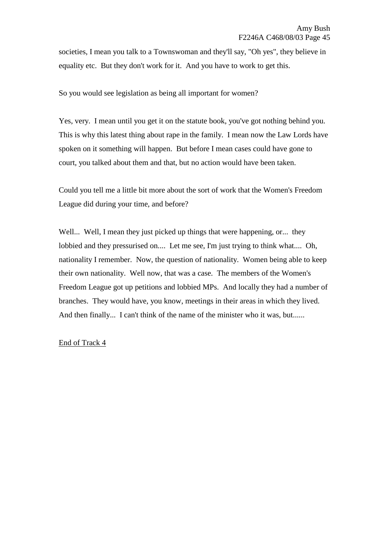societies, I mean you talk to a Townswoman and they'll say, "Oh yes", they believe in equality etc. But they don't work for it. And you have to work to get this.

So you would see legislation as being all important for women?

Yes, very. I mean until you get it on the statute book, you've got nothing behind you. This is why this latest thing about rape in the family. I mean now the Law Lords have spoken on it something will happen. But before I mean cases could have gone to court, you talked about them and that, but no action would have been taken.

Could you tell me a little bit more about the sort of work that the Women's Freedom League did during your time, and before?

Well... Well, I mean they just picked up things that were happening, or... they lobbied and they pressurised on.... Let me see, I'm just trying to think what.... Oh, nationality I remember. Now, the question of nationality. Women being able to keep their own nationality. Well now, that was a case. The members of the Women's Freedom League got up petitions and lobbied MPs. And locally they had a number of branches. They would have, you know, meetings in their areas in which they lived. And then finally... I can't think of the name of the minister who it was, but......

## End of Track 4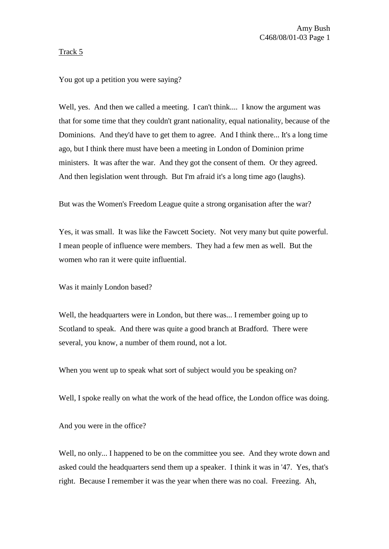# Track 5

# You got up a petition you were saying?

Well, yes. And then we called a meeting. I can't think.... I know the argument was that for some time that they couldn't grant nationality, equal nationality, because of the Dominions. And they'd have to get them to agree. And I think there... It's a long time ago, but I think there must have been a meeting in London of Dominion prime ministers. It was after the war. And they got the consent of them. Or they agreed. And then legislation went through. But I'm afraid it's a long time ago (laughs).

But was the Women's Freedom League quite a strong organisation after the war?

Yes, it was small. It was like the Fawcett Society. Not very many but quite powerful. I mean people of influence were members. They had a few men as well. But the women who ran it were quite influential.

Was it mainly London based?

Well, the headquarters were in London, but there was... I remember going up to Scotland to speak. And there was quite a good branch at Bradford. There were several, you know, a number of them round, not a lot.

When you went up to speak what sort of subject would you be speaking on?

Well, I spoke really on what the work of the head office, the London office was doing.

And you were in the office?

Well, no only... I happened to be on the committee you see. And they wrote down and asked could the headquarters send them up a speaker. I think it was in '47. Yes, that's right. Because I remember it was the year when there was no coal. Freezing. Ah,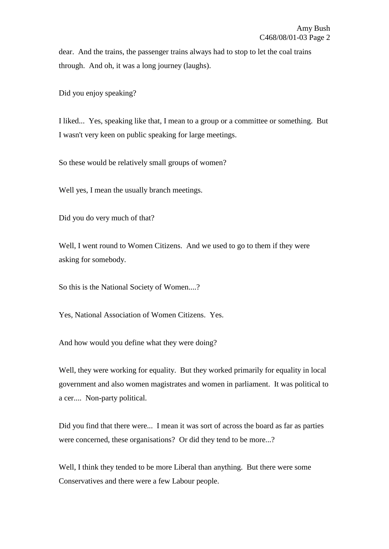dear. And the trains, the passenger trains always had to stop to let the coal trains through. And oh, it was a long journey (laughs).

Did you enjoy speaking?

I liked... Yes, speaking like that, I mean to a group or a committee or something. But I wasn't very keen on public speaking for large meetings.

So these would be relatively small groups of women?

Well yes, I mean the usually branch meetings.

Did you do very much of that?

Well, I went round to Women Citizens. And we used to go to them if they were asking for somebody.

So this is the National Society of Women....?

Yes, National Association of Women Citizens. Yes.

And how would you define what they were doing?

Well, they were working for equality. But they worked primarily for equality in local government and also women magistrates and women in parliament. It was political to a cer.... Non-party political.

Did you find that there were... I mean it was sort of across the board as far as parties were concerned, these organisations? Or did they tend to be more...?

Well, I think they tended to be more Liberal than anything. But there were some Conservatives and there were a few Labour people.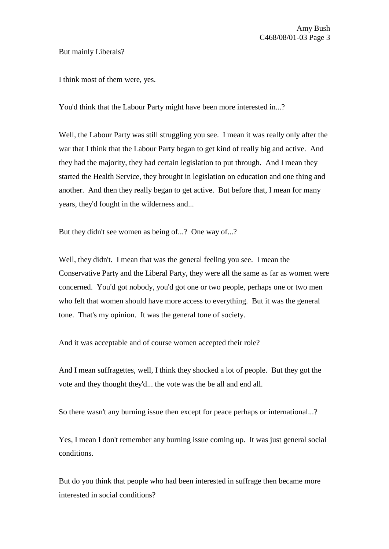## But mainly Liberals?

I think most of them were, yes.

You'd think that the Labour Party might have been more interested in...?

Well, the Labour Party was still struggling you see. I mean it was really only after the war that I think that the Labour Party began to get kind of really big and active. And they had the majority, they had certain legislation to put through. And I mean they started the Health Service, they brought in legislation on education and one thing and another. And then they really began to get active. But before that, I mean for many years, they'd fought in the wilderness and...

But they didn't see women as being of...? One way of...?

Well, they didn't. I mean that was the general feeling you see. I mean the Conservative Party and the Liberal Party, they were all the same as far as women were concerned. You'd got nobody, you'd got one or two people, perhaps one or two men who felt that women should have more access to everything. But it was the general tone. That's my opinion. It was the general tone of society.

And it was acceptable and of course women accepted their role?

And I mean suffragettes, well, I think they shocked a lot of people. But they got the vote and they thought they'd... the vote was the be all and end all.

So there wasn't any burning issue then except for peace perhaps or international...?

Yes, I mean I don't remember any burning issue coming up. It was just general social conditions.

But do you think that people who had been interested in suffrage then became more interested in social conditions?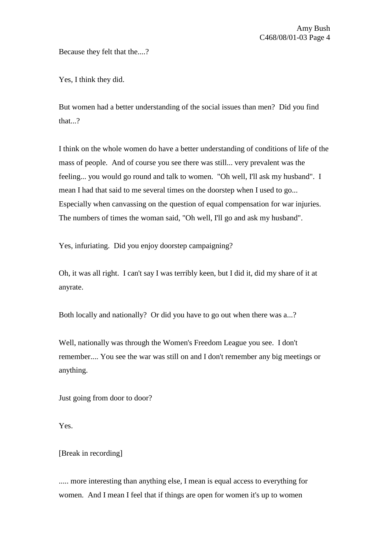Because they felt that the....?

Yes, I think they did.

But women had a better understanding of the social issues than men? Did you find that...?

I think on the whole women do have a better understanding of conditions of life of the mass of people. And of course you see there was still... very prevalent was the feeling... you would go round and talk to women. "Oh well, I'll ask my husband". I mean I had that said to me several times on the doorstep when I used to go... Especially when canvassing on the question of equal compensation for war injuries. The numbers of times the woman said, "Oh well, I'll go and ask my husband".

Yes, infuriating. Did you enjoy doorstep campaigning?

Oh, it was all right. I can't say I was terribly keen, but I did it, did my share of it at anyrate.

Both locally and nationally? Or did you have to go out when there was a...?

Well, nationally was through the Women's Freedom League you see. I don't remember.... You see the war was still on and I don't remember any big meetings or anything.

Just going from door to door?

Yes.

[Break in recording]

..... more interesting than anything else, I mean is equal access to everything for women. And I mean I feel that if things are open for women it's up to women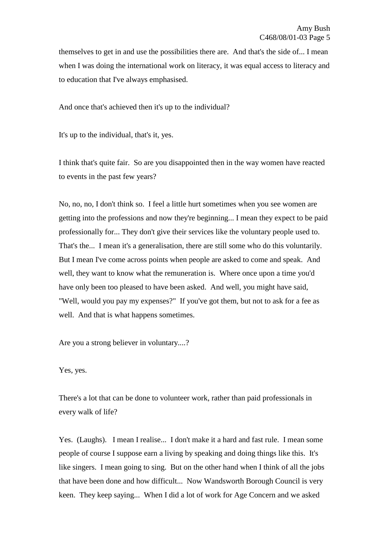themselves to get in and use the possibilities there are. And that's the side of... I mean when I was doing the international work on literacy, it was equal access to literacy and to education that I've always emphasised.

And once that's achieved then it's up to the individual?

It's up to the individual, that's it, yes.

I think that's quite fair. So are you disappointed then in the way women have reacted to events in the past few years?

No, no, no, I don't think so. I feel a little hurt sometimes when you see women are getting into the professions and now they're beginning... I mean they expect to be paid professionally for... They don't give their services like the voluntary people used to. That's the... I mean it's a generalisation, there are still some who do this voluntarily. But I mean I've come across points when people are asked to come and speak. And well, they want to know what the remuneration is. Where once upon a time you'd have only been too pleased to have been asked. And well, you might have said, "Well, would you pay my expenses?" If you've got them, but not to ask for a fee as well. And that is what happens sometimes.

Are you a strong believer in voluntary....?

Yes, yes.

There's a lot that can be done to volunteer work, rather than paid professionals in every walk of life?

Yes. (Laughs). I mean I realise... I don't make it a hard and fast rule. I mean some people of course I suppose earn a living by speaking and doing things like this. It's like singers. I mean going to sing. But on the other hand when I think of all the jobs that have been done and how difficult... Now Wandsworth Borough Council is very keen. They keep saying... When I did a lot of work for Age Concern and we asked